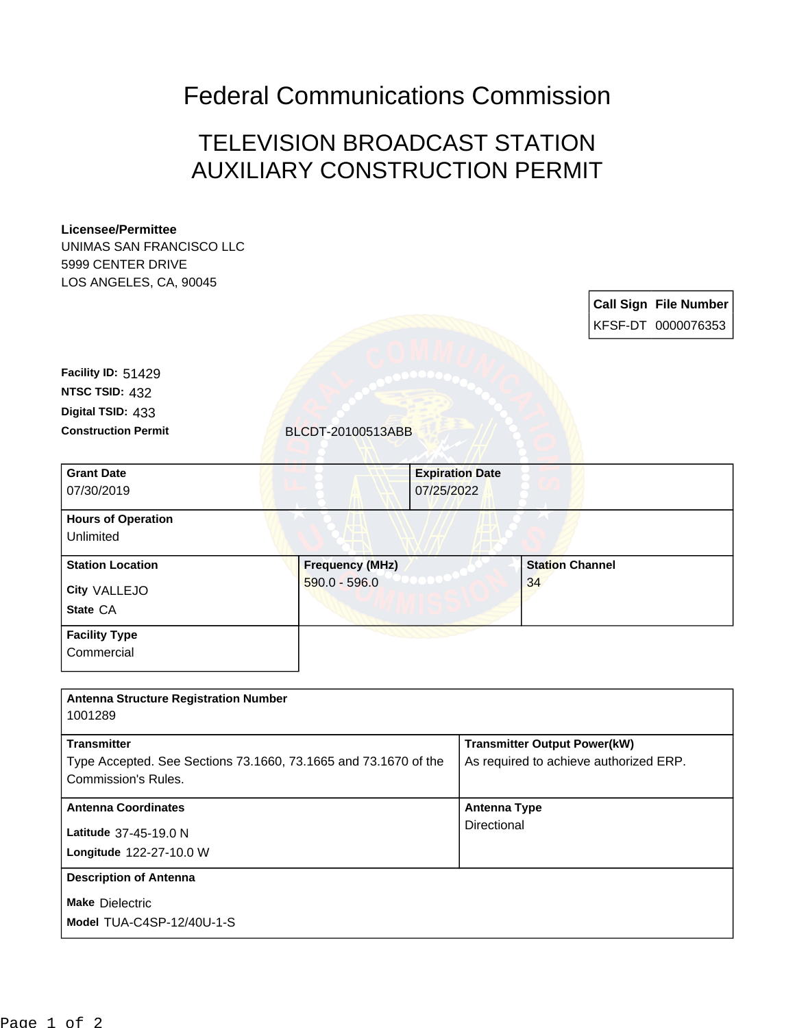Federal Communications Commission

## TELEVISION BROADCAST STATION AUXILIARY CONSTRUCTION PERMIT

## **Licensee/Permittee**

UNIMAS SAN FRANCISCO LLC 5999 CENTER DRIVE LOS ANGELES, CA, 90045

> **Call Sign File Number** KFSF-DT 0000076353

**Digital TSID:** 433 **NTSC TSID:** 432 **Facility ID:** 51429

**Construction Permit** BLCDT-20100513ABB

| <b>Grant Date</b>         | <b>Expiration Date</b> |                        |
|---------------------------|------------------------|------------------------|
| 07/30/2019                | 07/25/2022             |                        |
| <b>Hours of Operation</b> |                        |                        |
| Unlimited                 |                        |                        |
| <b>Station Location</b>   | <b>Frequency (MHz)</b> | <b>Station Channel</b> |
| City VALLEJO              | $590.0 - 596.0$        | 34                     |
| State CA                  |                        |                        |
| <b>Facility Type</b>      |                        |                        |
|                           |                        |                        |

**Commercial** 

| <b>Antenna Structure Registration Number</b><br>1001289                                                      |                                                                               |
|--------------------------------------------------------------------------------------------------------------|-------------------------------------------------------------------------------|
| <b>Transmitter</b><br>Type Accepted. See Sections 73.1660, 73.1665 and 73.1670 of the<br>Commission's Rules. | <b>Transmitter Output Power(kW)</b><br>As required to achieve authorized ERP. |
| <b>Antenna Coordinates</b><br>Latitude 37-45-19.0 N<br>Longitude 122-27-10.0 W                               | Antenna Type<br>Directional                                                   |
| <b>Description of Antenna</b><br><b>Make Dielectric</b><br>Model TUA-C4SP-12/40U-1-S                         |                                                                               |